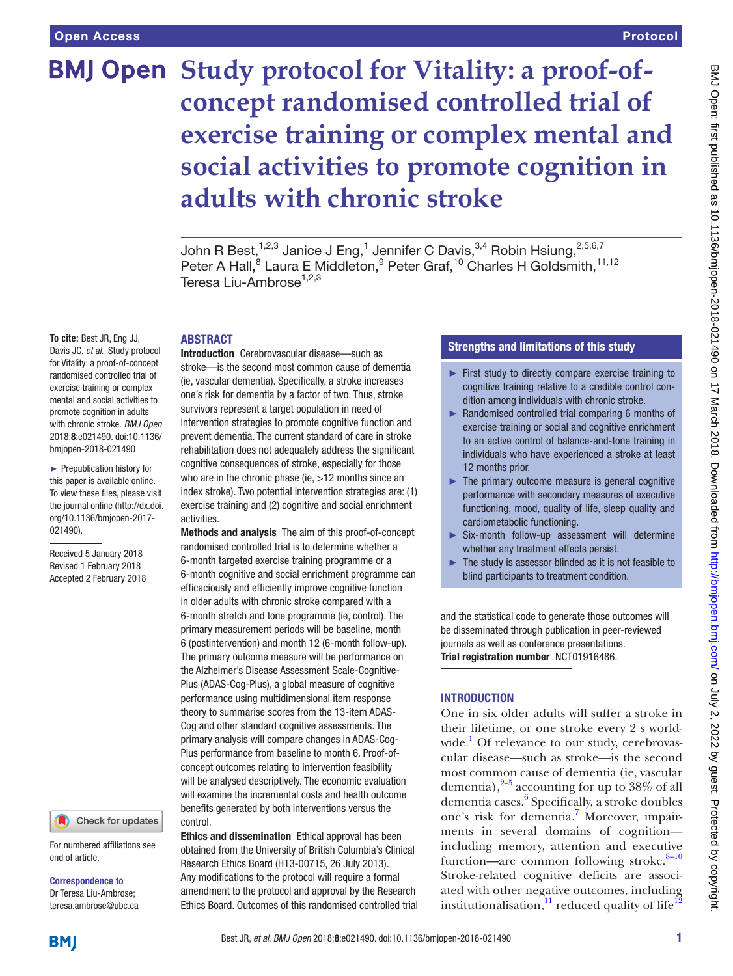# **BMJ Open** Study protocol for Vitality: a proof-of**concept randomised controlled trial of exercise training or complex mental and social activities to promote cognition in adults with chronic stroke**

John R Best,  $1,2,3$  Janice J Eng,  $1$  Jennifer C Davis,  $3,4$  Robin Hsiung,  $2,5,6,7$ Peter A Hall,<sup>8</sup> Laura E Middleton,<sup>9</sup> Peter Graf,<sup>10</sup> Charles H Goldsmith,<sup>11,12</sup> Teresa Liu-Ambrose<sup>1,2,3</sup>

# **ABSTRACT**

**To cite:** Best JR, Eng JJ, Davis JC, *et al*. Study protocol for Vitality: a proof-of-concept randomised controlled trial of exercise training or complex mental and social activities to promote cognition in adults with chronic stroke. *BMJ Open* 2018;8:e021490. doi:10.1136/ bmjopen-2018-021490

► Prepublication history for this paper is available online. To view these files, please visit the journal online [\(http://dx.doi.](http://dx.doi.org/10.1136/bmjopen-2017-021490) [org/10.1136/bmjopen-2017-](http://dx.doi.org/10.1136/bmjopen-2017-021490) [021490\)](http://dx.doi.org/10.1136/bmjopen-2017-021490).

Received 5 January 2018 Revised 1 February 2018 Accepted 2 February 2018

#### Check for updates

For numbered affiliations see end of article.

Correspondence to Dr Teresa Liu-Ambrose; teresa.ambrose@ubc.ca Introduction Cerebrovascular disease—such as stroke—is the second most common cause of dementia (ie, vascular dementia). Specifically, a stroke increases one's risk for dementia by a factor of two. Thus, stroke survivors represent a target population in need of intervention strategies to promote cognitive function and prevent dementia. The current standard of care in stroke rehabilitation does not adequately address the significant cognitive consequences of stroke, especially for those who are in the chronic phase (ie, >12 months since an index stroke). Two potential intervention strategies are: (1) exercise training and (2) cognitive and social enrichment activities.

Methods and analysis The aim of this proof-of-concept randomised controlled trial is to determine whether a 6-month targeted exercise training programme or a 6-month cognitive and social enrichment programme can efficaciously and efficiently improve cognitive function in older adults with chronic stroke compared with a 6-month stretch and tone programme (ie, control). The primary measurement periods will be baseline, month 6 (postintervention) and month 12 (6-month follow-up). The primary outcome measure will be performance on the Alzheimer's Disease Assessment Scale-Cognitive-Plus (ADAS-Cog-Plus), a global measure of cognitive performance using multidimensional item response theory to summarise scores from the 13-item ADAS-Cog and other standard cognitive assessments. The primary analysis will compare changes in ADAS-Cog-Plus performance from baseline to month 6. Proof-ofconcept outcomes relating to intervention feasibility will be analysed descriptively. The economic evaluation will examine the incremental costs and health outcome benefits generated by both interventions versus the control.

Ethics and dissemination Ethical approval has been obtained from the University of British Columbia's Clinical Research Ethics Board (H13-00715, 26 July 2013). Any modifications to the protocol will require a formal amendment to the protocol and approval by the Research Ethics Board. Outcomes of this randomised controlled trial

# Strengths and limitations of this study

- ► First study to directly compare exercise training to cognitive training relative to a credible control condition among individuals with chronic stroke.
- ► Randomised controlled trial comparing 6 months of exercise training or social and cognitive enrichment to an active control of balance-and-tone training in individuals who have experienced a stroke at least 12 months prior.
- $\blacktriangleright$  The primary outcome measure is general cognitive performance with secondary measures of executive functioning, mood, quality of life, sleep quality and cardiometabolic functioning.
- ► Six-month follow-up assessment will determine whether any treatment effects persist.
- The study is assessor blinded as it is not feasible to blind participants to treatment condition.

and the statistical code to generate those outcomes will be disseminated through publication in peer-reviewed journals as well as conference presentations. Trial registration number [NCT01916486.](NCT01916486)

# **INTRODUCTION**

One in six older adults will suffer a stroke in their lifetime, or one stroke every 2 s world-wide.<sup>[1](#page-7-0)</sup> Of relevance to our study, cerebrovascular disease—such as stroke—is the second most common cause of dementia (ie, vascular dementia), $^{2-5}$  accounting for up to 38% of all dementia cases.<sup>[6](#page-7-2)</sup> Specifically, a stroke doubles one's risk for dementia.<sup>[7](#page-7-3)</sup> Moreover, impairments in several domains of cognition including memory, attention and executive function—are common following stroke. $8-10$ Stroke-related cognitive deficits are associated with other negative outcomes, including institutionalisation, $\frac{11}{11}$  $\frac{11}{11}$  $\frac{11}{11}$  reduced quality of life<sup>[12](#page-7-6)</sup>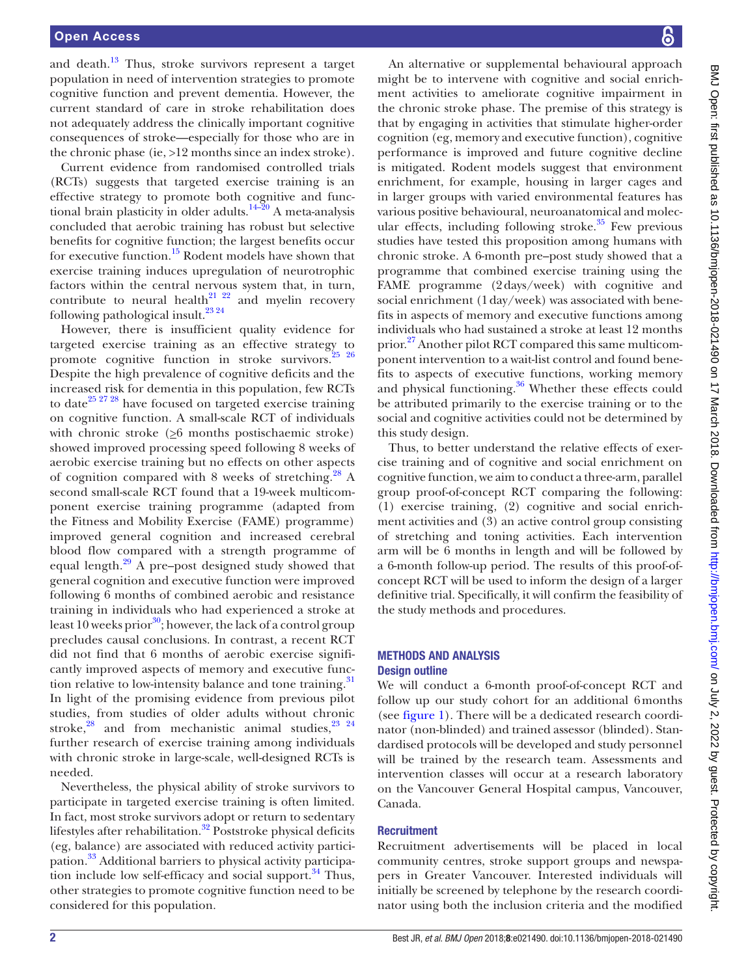and death. $13$  Thus, stroke survivors represent a target population in need of intervention strategies to promote cognitive function and prevent dementia. However, the current standard of care in stroke rehabilitation does not adequately address the clinically important cognitive consequences of stroke—especially for those who are in the chronic phase (ie, >12 months since an index stroke).

Current evidence from randomised controlled trials (RCTs) suggests that targeted exercise training is an effective strategy to promote both cognitive and functional brain plasticity in older adults.<sup>14–20</sup> A meta-analysis concluded that aerobic training has robust but selective benefits for cognitive function; the largest benefits occur for executive function.<sup>[15](#page-7-9)</sup> Rodent models have shown that exercise training induces upregulation of neurotrophic factors within the central nervous system that, in turn, contribute to neural health<sup>[21 22](#page-8-0)</sup> and myelin recovery following pathological insult.<sup>23</sup> <sup>24</sup>

However, there is insufficient quality evidence for targeted exercise training as an effective strategy to promote cognitive function in stroke survivors.<sup>25</sup> <sup>26</sup> Despite the high prevalence of cognitive deficits and the increased risk for dementia in this population, few RCTs to date<sup>25 27 28</sup> have focused on targeted exercise training on cognitive function. A small-scale RCT of individuals with chronic stroke  $(26$  months postischaemic stroke) showed improved processing speed following 8 weeks of aerobic exercise training but no effects on other aspects of cognition compared with 8 weeks of stretching.<sup>28</sup> A second small-scale RCT found that a 19-week multicomponent exercise training programme (adapted from the Fitness and Mobility Exercise (FAME) programme) improved general cognition and increased cerebral blood flow compared with a strength programme of equal length. $^{29}$  A pre–post designed study showed that general cognition and executive function were improved following 6 months of combined aerobic and resistance training in individuals who had experienced a stroke at least 10 weeks prior<sup>30</sup>; however, the lack of a control group precludes causal conclusions. In contrast, a recent RCT did not find that 6 months of aerobic exercise significantly improved aspects of memory and executive function relative to low-intensity balance and tone training. $31$ In light of the promising evidence from previous pilot studies, from studies of older adults without chronic stroke, $28$  and from mechanistic animal studies, $23 \frac{23}{4}$ further research of exercise training among individuals with chronic stroke in large-scale, well-designed RCTs is needed.

Nevertheless, the physical ability of stroke survivors to participate in targeted exercise training is often limited. In fact, most stroke survivors adopt or return to sedentary lifestyles after rehabilitation.<sup>32</sup> Poststroke physical deficits (eg, balance) are associated with reduced activity participation[.33](#page-8-8) Additional barriers to physical activity participation include low self-efficacy and social support. $34$  Thus, other strategies to promote cognitive function need to be considered for this population.

An alternative or supplemental behavioural approach might be to intervene with cognitive and social enrichment activities to ameliorate cognitive impairment in the chronic stroke phase. The premise of this strategy is that by engaging in activities that stimulate higher-order cognition (eg, memory and executive function), cognitive performance is improved and future cognitive decline is mitigated. Rodent models suggest that environment enrichment, for example, housing in larger cages and in larger groups with varied environmental features has various positive behavioural, neuroanatomical and molecular effects, including following stroke. $35$  Few previous studies have tested this proposition among humans with chronic stroke. A 6-month pre–post study showed that a programme that combined exercise training using the FAME programme (2days/week) with cognitive and social enrichment (1day/week) was associated with benefits in aspects of memory and executive functions among individuals who had sustained a stroke at least 12 months prior.<sup>27</sup> Another pilot RCT compared this same multicomponent intervention to a wait-list control and found benefits to aspects of executive functions, working memory and physical functioning.<sup>36</sup> Whether these effects could be attributed primarily to the exercise training or to the social and cognitive activities could not be determined by this study design.

Thus, to better understand the relative effects of exercise training and of cognitive and social enrichment on cognitive function, we aim to conduct a three-arm, parallel group proof-of-concept RCT comparing the following: (1) exercise training, (2) cognitive and social enrichment activities and (3) an active control group consisting of stretching and toning activities. Each intervention arm will be 6 months in length and will be followed by a 6-month follow-up period. The results of this proof-ofconcept RCT will be used to inform the design of a larger definitive trial. Specifically, it will confirm the feasibility of the study methods and procedures.

# Methods and analysis Design outline

We will conduct a 6-month proof-of-concept RCT and follow up our study cohort for an additional 6months (see [figure](#page-2-0) 1). There will be a dedicated research coordinator (non-blinded) and trained assessor (blinded). Standardised protocols will be developed and study personnel will be trained by the research team. Assessments and intervention classes will occur at a research laboratory on the Vancouver General Hospital campus, Vancouver, Canada.

# **Recruitment**

Recruitment advertisements will be placed in local community centres, stroke support groups and newspapers in Greater Vancouver. Interested individuals will initially be screened by telephone by the research coordinator using both the inclusion criteria and the modified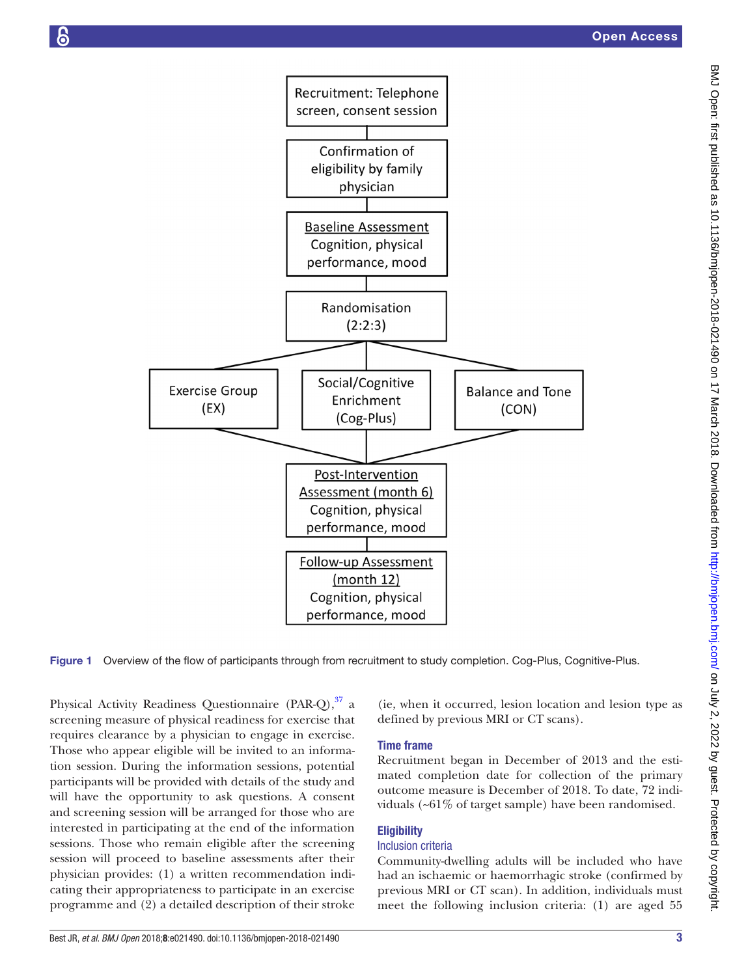

Figure 1 Overview of the flow of participants through from recruitment to study completion. Cog-Plus, Cognitive-Plus.

Physical Activity Readiness Questionnaire (PAR-Q), [37](#page-8-13) a screening measure of physical readiness for exercise that requires clearance by a physician to engage in exercise. Those who appear eligible will be invited to an information session. During the information sessions, potential participants will be provided with details of the study and will have the opportunity to ask questions. A consent and screening session will be arranged for those who are interested in participating at the end of the information sessions. Those who remain eligible after the screening session will proceed to baseline assessments after their physician provides: (1) a written recommendation indicating their appropriateness to participate in an exercise programme and (2) a detailed description of their stroke

<span id="page-2-0"></span>(ie, when it occurred, lesion location and lesion type as defined by previous MRI or CT scans).

# Time frame

Recruitment began in December of 2013 and the estimated completion date for collection of the primary outcome measure is December of 2018. To date, 72 individuals (~61% of target sample) have been randomised.

# **Eligibility**

#### Inclusion criteria

Community-dwelling adults will be included who have had an ischaemic or haemorrhagic stroke (confirmed by previous MRI or CT scan). In addition, individuals must meet the following inclusion criteria: (1) are aged 55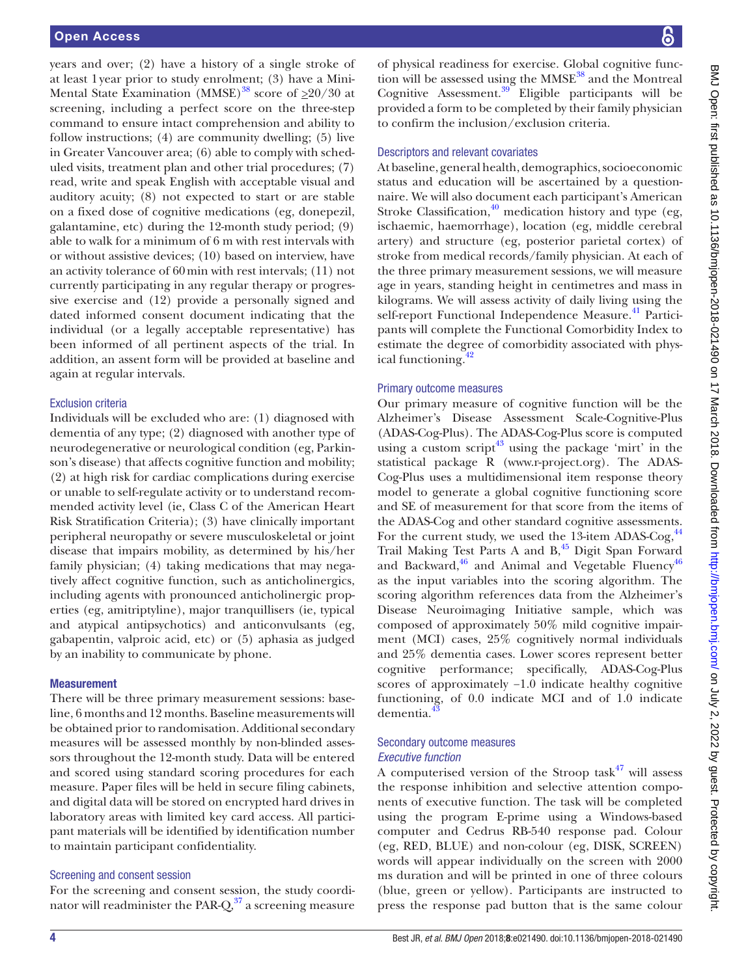years and over; (2) have a history of a single stroke of at least 1year prior to study enrolment; (3) have a Mini-Mental State Examination (MMSE)<sup>38</sup> score of  $\geq 20/30$  at screening, including a perfect score on the three-step command to ensure intact comprehension and ability to follow instructions; (4) are community dwelling; (5) live in Greater Vancouver area; (6) able to comply with scheduled visits, treatment plan and other trial procedures; (7) read, write and speak English with acceptable visual and auditory acuity; (8) not expected to start or are stable on a fixed dose of cognitive medications (eg, donepezil, galantamine, etc) during the 12-month study period; (9) able to walk for a minimum of 6 m with rest intervals with or without assistive devices; (10) based on interview, have an activity tolerance of 60min with rest intervals; (11) not currently participating in any regular therapy or progressive exercise and (12) provide a personally signed and dated informed consent document indicating that the individual (or a legally acceptable representative) has been informed of all pertinent aspects of the trial. In addition, an assent form will be provided at baseline and again at regular intervals.

#### Exclusion criteria

Individuals will be excluded who are: (1) diagnosed with dementia of any type; (2) diagnosed with another type of neurodegenerative or neurological condition (eg, Parkinson's disease) that affects cognitive function and mobility; (2) at high risk for cardiac complications during exercise or unable to self-regulate activity or to understand recommended activity level (ie, Class C of the American Heart Risk Stratification Criteria); (3) have clinically important peripheral neuropathy or severe musculoskeletal or joint disease that impairs mobility, as determined by his/her family physician; (4) taking medications that may negatively affect cognitive function, such as anticholinergics, including agents with pronounced anticholinergic properties (eg, amitriptyline), major tranquillisers (ie, typical and atypical antipsychotics) and anticonvulsants (eg, gabapentin, valproic acid, etc) or (5) aphasia as judged by an inability to communicate by phone.

#### **Measurement**

There will be three primary measurement sessions: baseline, 6 months and 12 months. Baseline measurements will be obtained prior to randomisation. Additional secondary measures will be assessed monthly by non-blinded assessors throughout the 12-month study. Data will be entered and scored using standard scoring procedures for each measure. Paper files will be held in secure filing cabinets, and digital data will be stored on encrypted hard drives in laboratory areas with limited key card access. All participant materials will be identified by identification number to maintain participant confidentiality.

#### Screening and consent session

For the screening and consent session, the study coordinator will readminister the PAR- $Q<sub>37</sub>$  $Q<sub>37</sub>$  $Q<sub>37</sub>$  a screening measure

of physical readiness for exercise. Global cognitive function will be assessed using the  $MMSE<sup>38</sup>$  $MMSE<sup>38</sup>$  $MMSE<sup>38</sup>$  and the Montreal Cognitive Assessment[.39](#page-8-15) Eligible participants will be provided a form to be completed by their family physician to confirm the inclusion/exclusion criteria.

#### Descriptors and relevant covariates

At baseline, general health, demographics, socioeconomic status and education will be ascertained by a questionnaire. We will also document each participant's American Stroke Classification, $40$  medication history and type (eg, ischaemic, haemorrhage), location (eg, middle cerebral artery) and structure (eg, posterior parietal cortex) of stroke from medical records/family physician. At each of the three primary measurement sessions, we will measure age in years, standing height in centimetres and mass in kilograms. We will assess activity of daily living using the self-report Functional Independence Measure.<sup>[41](#page-8-17)</sup> Participants will complete the Functional Comorbidity Index to estimate the degree of comorbidity associated with physical functioning.<sup>42</sup>

# Primary outcome measures

Our primary measure of cognitive function will be the Alzheimer's Disease Assessment Scale-Cognitive-Plus (ADAS-Cog-Plus). The ADAS-Cog-Plus score is computed using a custom script<sup>43</sup> using the package 'mirt' in the statistical package R (<www.r-project.org>). The ADAS-Cog-Plus uses a multidimensional item response theory model to generate a global cognitive functioning score and SE of measurement for that score from the items of the ADAS-Cog and other standard cognitive assessments. For the current study, we used the 13-item ADAS-Cog,  $44$ Trail Making Test Parts A and  $B$ ,<sup>45</sup> Digit Span Forward and Backward, $46$  and Animal and Vegetable Fluency $46$ as the input variables into the scoring algorithm. The scoring algorithm references data from the Alzheimer's Disease Neuroimaging Initiative sample, which was composed of approximately 50% mild cognitive impairment (MCI) cases, 25% cognitively normal individuals and 25% dementia cases. Lower scores represent better cognitive performance; specifically, ADAS-Cog-Plus scores of approximately −1.0 indicate healthy cognitive functioning, of 0.0 indicate MCI and of 1.0 indicate dementia.<sup>4</sup>

# Secondary outcome measures *Executive function*

A computerised version of the Stroop task $47$  will assess the response inhibition and selective attention components of executive function. The task will be completed using the program E-prime using a Windows-based computer and Cedrus RB-540 response pad. Colour (eg, RED, BLUE) and non-colour (eg, DISK, SCREEN) words will appear individually on the screen with 2000 ms duration and will be printed in one of three colours (blue, green or yellow). Participants are instructed to press the response pad button that is the same colour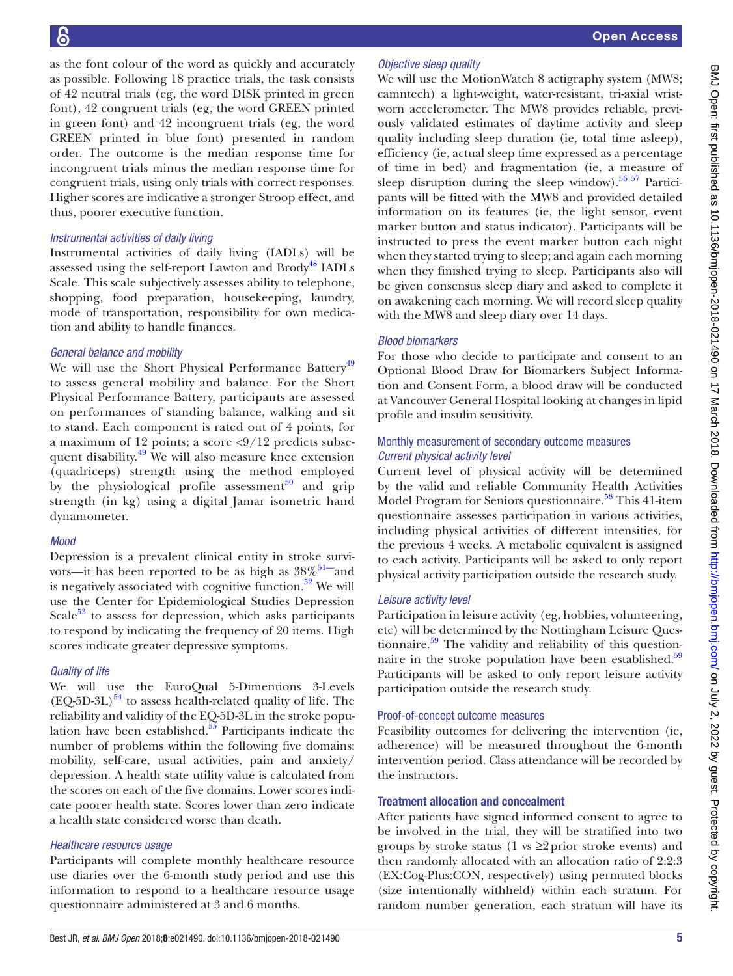as the font colour of the word as quickly and accurately as possible. Following 18 practice trials, the task consists of 42 neutral trials (eg, the word DISK printed in green font), 42 congruent trials (eg, the word GREEN printed in green font) and 42 incongruent trials (eg, the word GREEN printed in blue font) presented in random order. The outcome is the median response time for incongruent trials minus the median response time for congruent trials, using only trials with correct responses. Higher scores are indicative a stronger Stroop effect, and thus, poorer executive function.

### *Instrumental activities of daily living*

Instrumental activities of daily living (IADLs) will be assessed using the self-report Lawton and Brody<sup>48</sup> IADLs Scale. This scale subjectively assesses ability to telephone, shopping, food preparation, housekeeping, laundry, mode of transportation, responsibility for own medication and ability to handle finances.

# *General balance and mobility*

We will use the Short Physical Performance Battery<sup>[49](#page-8-25)</sup> to assess general mobility and balance. For the Short Physical Performance Battery, participants are assessed on performances of standing balance, walking and sit to stand. Each component is rated out of 4 points, for a maximum of 12 points; a score  $\langle 9/12 \rangle$  predicts subse-quent disability.<sup>[49](#page-8-25)</sup> We will also measure knee extension (quadriceps) strength using the method employed by the physiological profile assessment $50$  and grip strength (in kg) using a digital Jamar isometric hand dynamometer.

# *Mood*

Depression is a prevalent clinical entity in stroke survivors—it has been reported to be as high as  $38\%$ <sup>51—</sup>and is negatively associated with cognitive function. $52$  We will use the Center for Epidemiological Studies Depression Scale $53$  to assess for depression, which asks participants to respond by indicating the frequency of 20 items. High scores indicate greater depressive symptoms.

# *Quality of life*

We will use the EuroQual 5-Dimentions 3-Levels  $(EQ-5D-3L)^{54}$  to assess health-related quality of life. The reliability and validity of the EQ-5D-3L in the stroke population have been established. $55$  Participants indicate the number of problems within the following five domains: mobility, self-care, usual activities, pain and anxiety/ depression. A health state utility value is calculated from the scores on each of the five domains. Lower scores indicate poorer health state. Scores lower than zero indicate a health state considered worse than death.

# *Healthcare resource usage*

Participants will complete monthly healthcare resource use diaries over the 6-month study period and use this information to respond to a healthcare resource usage questionnaire administered at 3 and 6 months.

# *Objective sleep quality*

We will use the MotionWatch 8 actigraphy system (MW8; camntech) a light-weight, water-resistant, tri-axial wristworn accelerometer. The MW8 provides reliable, previously validated estimates of daytime activity and sleep quality including sleep duration (ie, total time asleep), efficiency (ie, actual sleep time expressed as a percentage of time in bed) and fragmentation (ie, a measure of sleep disruption during the sleep window).<sup>56 57</sup> Participants will be fitted with the MW8 and provided detailed information on its features (ie, the light sensor, event marker button and status indicator). Participants will be instructed to press the event marker button each night when they started trying to sleep; and again each morning when they finished trying to sleep. Participants also will be given consensus sleep diary and asked to complete it on awakening each morning. We will record sleep quality with the MW8 and sleep diary over 14 days.

# *Blood biomarkers*

For those who decide to participate and consent to an Optional Blood Draw for Biomarkers Subject Information and Consent Form, a blood draw will be conducted at Vancouver General Hospital looking at changes in lipid profile and insulin sensitivity.

# Monthly measurement of secondary outcome measures *Current physical activity level*

Current level of physical activity will be determined by the valid and reliable Community Health Activities Model Program for Seniors questionnaire.<sup>[58](#page-8-33)</sup> This 41-item questionnaire assesses participation in various activities, including physical activities of different intensities, for the previous 4 weeks. A metabolic equivalent is assigned to each activity. Participants will be asked to only report physical activity participation outside the research study.

# *Leisure activity level*

Participation in leisure activity (eg, hobbies, volunteering, etc) will be determined by the Nottingham Leisure Questionnaire. $59$  The validity and reliability of this questionnaire in the stroke population have been established. $59$ Participants will be asked to only report leisure activity participation outside the research study.

# Proof-of-concept outcome measures

Feasibility outcomes for delivering the intervention (ie, adherence) will be measured throughout the 6-month intervention period. Class attendance will be recorded by the instructors.

# Treatment allocation and concealment

After patients have signed informed consent to agree to be involved in the trial, they will be stratified into two groups by stroke status (1 vs  $\geq$ 2prior stroke events) and then randomly allocated with an allocation ratio of 2:2:3 (EX:Cog-Plus:CON, respectively) using permuted blocks (size intentionally withheld) within each stratum. For random number generation, each stratum will have its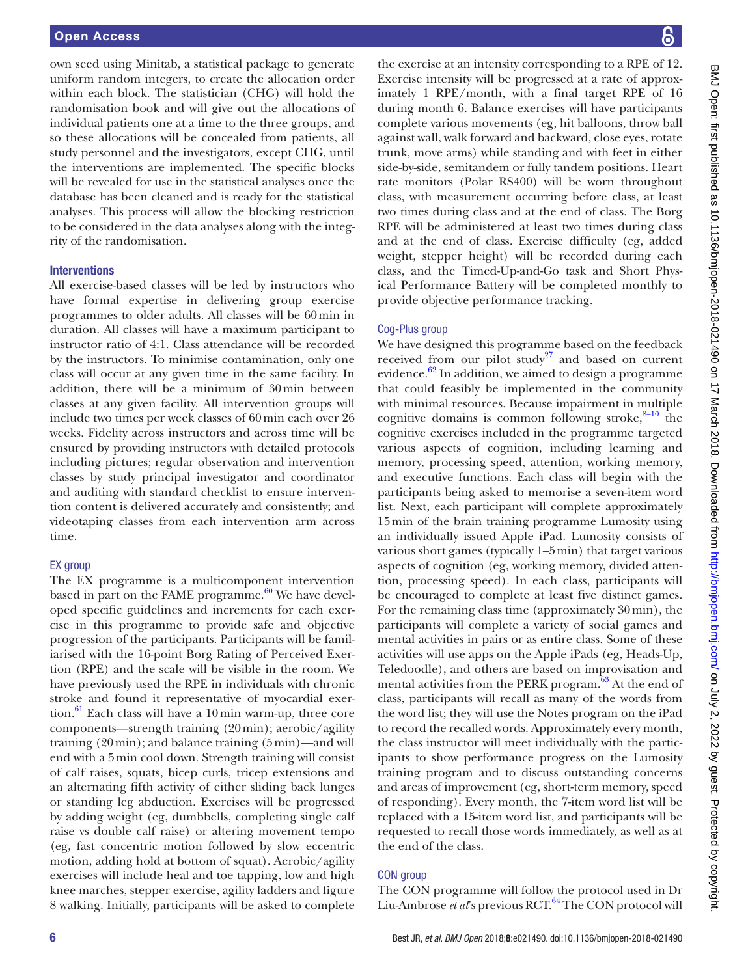own seed using Minitab, a statistical package to generate uniform random integers, to create the allocation order within each block. The statistician (CHG) will hold the randomisation book and will give out the allocations of individual patients one at a time to the three groups, and so these allocations will be concealed from patients, all study personnel and the investigators, except CHG, until the interventions are implemented. The specific blocks will be revealed for use in the statistical analyses once the database has been cleaned and is ready for the statistical analyses. This process will allow the blocking restriction to be considered in the data analyses along with the integrity of the randomisation.

#### **Interventions**

All exercise-based classes will be led by instructors who have formal expertise in delivering group exercise programmes to older adults. All classes will be 60min in duration. All classes will have a maximum participant to instructor ratio of 4:1. Class attendance will be recorded by the instructors. To minimise contamination, only one class will occur at any given time in the same facility. In addition, there will be a minimum of 30min between classes at any given facility. All intervention groups will include two times per week classes of 60min each over 26 weeks. Fidelity across instructors and across time will be ensured by providing instructors with detailed protocols including pictures; regular observation and intervention classes by study principal investigator and coordinator and auditing with standard checklist to ensure intervention content is delivered accurately and consistently; and videotaping classes from each intervention arm across time.

#### EX group

The EX programme is a multicomponent intervention based in part on the FAME programme. $60$  We have developed specific guidelines and increments for each exercise in this programme to provide safe and objective progression of the participants. Participants will be familiarised with the 16-point Borg Rating of Perceived Exertion (RPE) and the scale will be visible in the room. We have previously used the RPE in individuals with chronic stroke and found it representative of myocardial exertion.<sup>61</sup> Each class will have a 10 min warm-up, three core components—strength training (20min); aerobic/agility training (20min); and balance training (5min)—and will end with a 5min cool down. Strength training will consist of calf raises, squats, bicep curls, tricep extensions and an alternating fifth activity of either sliding back lunges or standing leg abduction. Exercises will be progressed by adding weight (eg, dumbbells, completing single calf raise vs double calf raise) or altering movement tempo (eg, fast concentric motion followed by slow eccentric motion, adding hold at bottom of squat). Aerobic/agility exercises will include heal and toe tapping, low and high knee marches, stepper exercise, agility ladders and figure 8 walking. Initially, participants will be asked to complete

the exercise at an intensity corresponding to a RPE of 12. Exercise intensity will be progressed at a rate of approximately 1 RPE/month, with a final target RPE of 16 during month 6. Balance exercises will have participants complete various movements (eg, hit balloons, throw ball against wall, walk forward and backward, close eyes, rotate trunk, move arms) while standing and with feet in either side-by-side, semitandem or fully tandem positions. Heart rate monitors (Polar RS400) will be worn throughout class, with measurement occurring before class, at least two times during class and at the end of class. The Borg RPE will be administered at least two times during class and at the end of class. Exercise difficulty (eg, added weight, stepper height) will be recorded during each class, and the Timed-Up-and-Go task and Short Physical Performance Battery will be completed monthly to provide objective performance tracking.

#### Cog-Plus group

We have designed this programme based on the feedback received from our pilot study<sup>[27](#page-8-11)</sup> and based on current evidence. $62$  In addition, we aimed to design a programme that could feasibly be implemented in the community with minimal resources. Because impairment in multiple cognitive domains is common following stroke, $8-10$  the cognitive exercises included in the programme targeted various aspects of cognition, including learning and memory, processing speed, attention, working memory, and executive functions. Each class will begin with the participants being asked to memorise a seven-item word list. Next, each participant will complete approximately 15min of the brain training programme Lumosity using an individually issued Apple iPad. Lumosity consists of various short games (typically 1–5min) that target various aspects of cognition (eg, working memory, divided attention, processing speed). In each class, participants will be encouraged to complete at least five distinct games. For the remaining class time (approximately 30min), the participants will complete a variety of social games and mental activities in pairs or as entire class. Some of these activities will use apps on the Apple iPads (eg, Heads-Up, Teledoodle), and others are based on improvisation and mental activities from the PERK program. $63$  At the end of class, participants will recall as many of the words from the word list; they will use the Notes program on the iPad to record the recalled words. Approximately every month, the class instructor will meet individually with the participants to show performance progress on the Lumosity training program and to discuss outstanding concerns and areas of improvement (eg, short-term memory, speed of responding). Every month, the 7-item word list will be replaced with a 15-item word list, and participants will be requested to recall those words immediately, as well as at the end of the class.

#### CON group

The CON programme will follow the protocol used in Dr Liu-Ambrose *et al*'s previous RCT.<sup>[64](#page-8-39)</sup> The CON protocol will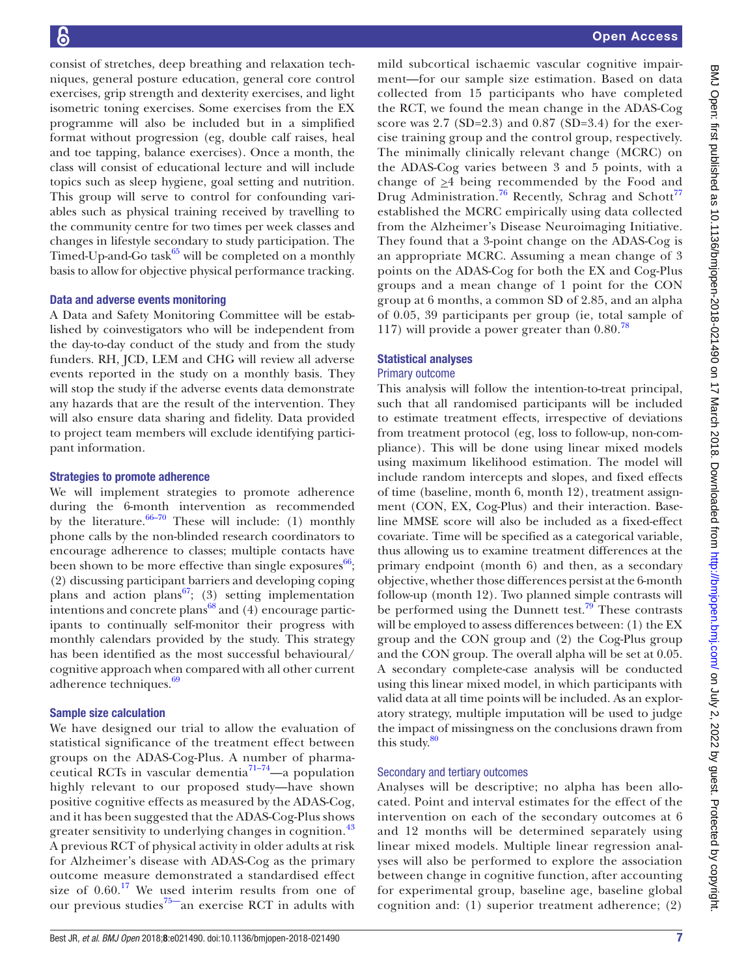consist of stretches, deep breathing and relaxation techniques, general posture education, general core control exercises, grip strength and dexterity exercises, and light isometric toning exercises. Some exercises from the EX programme will also be included but in a simplified format without progression (eg, double calf raises, heal and toe tapping, balance exercises). Once a month, the class will consist of educational lecture and will include topics such as sleep hygiene, goal setting and nutrition. This group will serve to control for confounding variables such as physical training received by travelling to the community centre for two times per week classes and changes in lifestyle secondary to study participation. The Timed-Up-and-Go task $^{65}$  will be completed on a monthly basis to allow for objective physical performance tracking.

#### Data and adverse events monitoring

A Data and Safety Monitoring Committee will be established by coinvestigators who will be independent from the day-to-day conduct of the study and from the study funders. RH, JCD, LEM and CHG will review all adverse events reported in the study on a monthly basis. They will stop the study if the adverse events data demonstrate any hazards that are the result of the intervention. They will also ensure data sharing and fidelity. Data provided to project team members will exclude identifying participant information.

#### Strategies to promote adherence

We will implement strategies to promote adherence during the 6-month intervention as recommended by the literature.  $66-70$  These will include: (1) monthly phone calls by the non-blinded research coordinators to encourage adherence to classes; multiple contacts have been shown to be more effective than single exposures $^{66}$  $^{66}$  $^{66}$ ; (2) discussing participant barriers and developing coping plans and action plans<sup>67</sup>; (3) setting implementation intentions and concrete plans<sup>68</sup> and  $(4)$  encourage participants to continually self-monitor their progress with monthly calendars provided by the study. This strategy has been identified as the most successful behavioural/ cognitive approach when compared with all other current adherence techniques.<sup>69</sup>

#### Sample size calculation

We have designed our trial to allow the evaluation of statistical significance of the treatment effect between groups on the ADAS-Cog-Plus. A number of pharmaceutical RCTs in vascular dementia $\frac{71-74}{ }$ —a population highly relevant to our proposed study—have shown positive cognitive effects as measured by the ADAS-Cog, and it has been suggested that the ADAS-Cog-Plus shows greater sensitivity to underlying changes in cognition.<sup>[43](#page-8-19)</sup> A previous RCT of physical activity in older adults at risk for Alzheimer's disease with ADAS-Cog as the primary outcome measure demonstrated a standardised effect size of  $0.60$ .<sup>[17](#page-8-46)</sup> We used interim results from one of our previous studies<sup>75—</sup>an exercise RCT in adults with

mild subcortical ischaemic vascular cognitive impairment—for our sample size estimation. Based on data collected from 15 participants who have completed the RCT, we found the mean change in the ADAS-Cog score was  $2.7$  (SD= $2.3$ ) and 0.87 (SD= $3.4$ ) for the exercise training group and the control group, respectively. The minimally clinically relevant change (MCRC) on the ADAS-Cog varies between 3 and 5 points, with a change of  $\geq 4$  being recommended by the Food and Drug Administration.<sup>76</sup> Recently, Schrag and Schott<sup>[77](#page-9-2)</sup> established the MCRC empirically using data collected from the Alzheimer's Disease Neuroimaging Initiative. They found that a 3-point change on the ADAS-Cog is an appropriate MCRC. Assuming a mean change of 3 points on the ADAS-Cog for both the EX and Cog-Plus groups and a mean change of 1 point for the CON group at 6 months, a common SD of 2.85, and an alpha of 0.05, 39 participants per group (ie, total sample of 117) will provide a power greater than  $0.80$ .<sup>[78](#page-9-3)</sup>

#### Statistical analyses

#### Primary outcome

This analysis will follow the intention-to-treat principal, such that all randomised participants will be included to estimate treatment effects, irrespective of deviations from treatment protocol (eg, loss to follow-up, non-compliance). This will be done using linear mixed models using maximum likelihood estimation. The model will include random intercepts and slopes, and fixed effects of time (baseline, month 6, month 12), treatment assignment (CON, EX, Cog-Plus) and their interaction. Baseline MMSE score will also be included as a fixed-effect covariate. Time will be specified as a categorical variable, thus allowing us to examine treatment differences at the primary endpoint (month 6) and then, as a secondary objective, whether those differences persist at the 6-month follow-up (month 12). Two planned simple contrasts will be performed using the Dunnett test.<sup>[79](#page-9-4)</sup> These contrasts will be employed to assess differences between: (1) the EX group and the CON group and (2) the Cog-Plus group and the CON group. The overall alpha will be set at 0.05. A secondary complete-case analysis will be conducted using this linear mixed model, in which participants with valid data at all time points will be included. As an exploratory strategy, multiple imputation will be used to judge the impact of missingness on the conclusions drawn from this study. $80$ 

#### Secondary and tertiary outcomes

Analyses will be descriptive; no alpha has been allocated. Point and interval estimates for the effect of the intervention on each of the secondary outcomes at 6 and 12 months will be determined separately using linear mixed models. Multiple linear regression analyses will also be performed to explore the association between change in cognitive function, after accounting for experimental group, baseline age, baseline global cognition and: (1) superior treatment adherence; (2)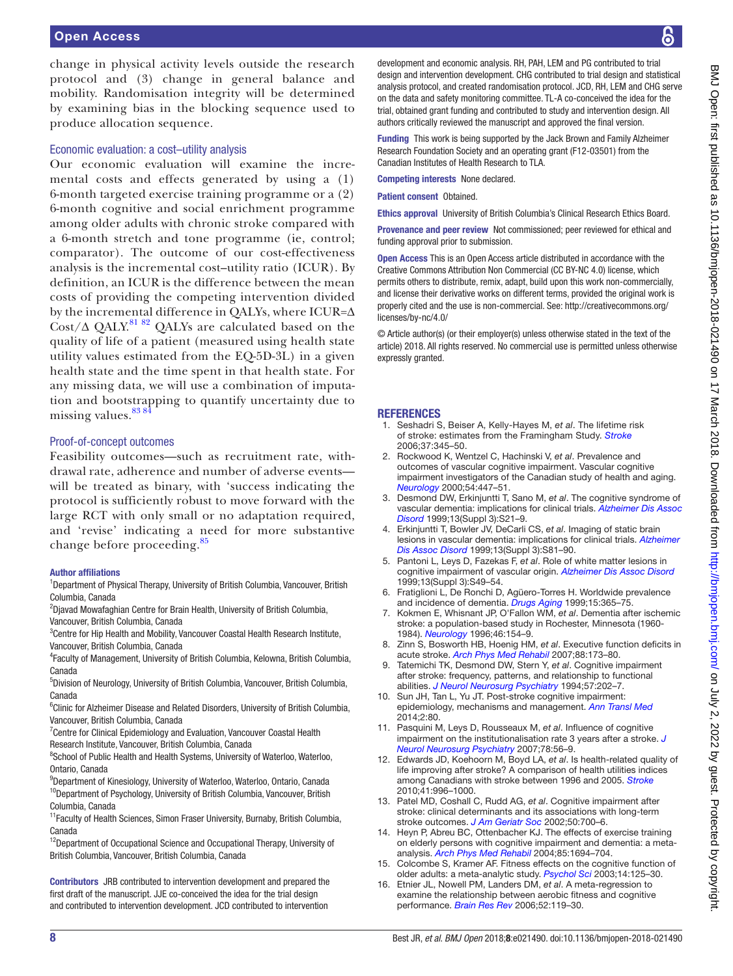change in physical activity levels outside the research protocol and (3) change in general balance and mobility. Randomisation integrity will be determined by examining bias in the blocking sequence used to produce allocation sequence.

### Economic evaluation: a cost–utility analysis

Our economic evaluation will examine the incremental costs and effects generated by using a (1) 6-month targeted exercise training programme or a (2) 6-month cognitive and social enrichment programme among older adults with chronic stroke compared with a 6-month stretch and tone programme (ie, control; comparator). The outcome of our cost-effectiveness analysis is the incremental cost–utility ratio (ICUR). By definition, an ICUR is the difference between the mean costs of providing the competing intervention divided by the incremental difference in QALYs, where ICUR=∆ Cost/∆ QALY.<sup>[81 82](#page-9-6)</sup> QALYs are calculated based on the quality of life of a patient (measured using health state utility values estimated from the EQ-5D-3L) in a given health state and the time spent in that health state. For any missing data, we will use a combination of imputation and bootstrapping to quantify uncertainty due to missing values.<sup>838</sup>

# Proof-of-concept outcomes

Feasibility outcomes—such as recruitment rate, withdrawal rate, adherence and number of adverse events will be treated as binary, with 'success indicating the protocol is sufficiently robust to move forward with the large RCT with only small or no adaptation required, and 'revise' indicating a need for more substantive change before proceeding.<sup>[85](#page-9-8)</sup>

#### Author affiliations

<sup>1</sup>Department of Physical Therapy, University of British Columbia, Vancouver, British Columbia, Canada

<sup>2</sup>Djavad Mowafaghian Centre for Brain Health, University of British Columbia,

Vancouver, British Columbia, Canada

<sup>3</sup>Centre for Hip Health and Mobility, Vancouver Coastal Health Research Institute, Vancouver, British Columbia, Canada

4 Faculty of Management, University of British Columbia, Kelowna, British Columbia, Canada

5 Division of Neurology, University of British Columbia, Vancouver, British Columbia, Canada

<sup>6</sup>Clinic for Alzheimer Disease and Related Disorders, University of British Columbia, Vancouver, British Columbia, Canada

<sup>7</sup> Centre for Clinical Epidemiology and Evaluation, Vancouver Coastal Health Research Institute, Vancouver, British Columbia, Canada

<sup>8</sup>School of Public Health and Health Systems, University of Waterloo, Waterloo, Ontario, Canada

9 Department of Kinesiology, University of Waterloo, Waterloo, Ontario, Canada <sup>10</sup>Department of Psychology, University of British Columbia, Vancouver, British Columbia, Canada

<sup>11</sup> Faculty of Health Sciences, Simon Fraser University, Burnaby, British Columbia, Canada

<sup>12</sup>Department of Occupational Science and Occupational Therapy, University of British Columbia, Vancouver, British Columbia, Canada

Contributors JRB contributed to intervention development and prepared the first draft of the manuscript. JJE co-conceived the idea for the trial design and contributed to intervention development. JCD contributed to intervention

development and economic analysis. RH, PAH, LEM and PG contributed to trial design and intervention development. CHG contributed to trial design and statistical analysis protocol, and created randomisation protocol. JCD, RH, LEM and CHG serve on the data and safety monitoring committee. TL-A co-conceived the idea for the trial, obtained grant funding and contributed to study and intervention design. All authors critically reviewed the manuscript and approved the final version.

Funding This work is being supported by the Jack Brown and Family Alzheimer Research Foundation Society and an operating grant (F12-03501) from the Canadian Institutes of Health Research to TLA.

Competing interests None declared.

Patient consent Obtained.

Ethics approval University of British Columbia's Clinical Research Ethics Board.

Provenance and peer review Not commissioned; peer reviewed for ethical and funding approval prior to submission.

Open Access This is an Open Access article distributed in accordance with the Creative Commons Attribution Non Commercial (CC BY-NC 4.0) license, which permits others to distribute, remix, adapt, build upon this work non-commercially, and license their derivative works on different terms, provided the original work is properly cited and the use is non-commercial. See: [http://creativecommons.org/](http://creativecommons.org/licenses/by-nc/4.0/) [licenses/by-nc/4.0/](http://creativecommons.org/licenses/by-nc/4.0/)

© Article author(s) (or their employer(s) unless otherwise stated in the text of the article) 2018. All rights reserved. No commercial use is permitted unless otherwise expressly granted.

# **REFERENCES**

- <span id="page-7-0"></span>1. Seshadri S, Beiser A, Kelly-Hayes M, *et al*. The lifetime risk of stroke: estimates from the Framingham Study. *[Stroke](http://dx.doi.org/10.1161/01.STR.0000199613.38911.b2)* 2006;37:345–50.
- <span id="page-7-1"></span>2. Rockwood K, Wentzel C, Hachinski V, *et al*. Prevalence and outcomes of vascular cognitive impairment. Vascular cognitive impairment investigators of the Canadian study of health and aging. *[Neurology](http://www.ncbi.nlm.nih.gov/pubmed/10668712)* 2000;54:447–51.
- 3. Desmond DW, Erkinjuntti T, Sano M, *et al*. The cognitive syndrome of vascular dementia: implications for clinical trials. *[Alzheimer Dis Assoc](http://www.ncbi.nlm.nih.gov/pubmed/10609678)  [Disord](http://www.ncbi.nlm.nih.gov/pubmed/10609678)* 1999;13(Suppl 3):S21–9.
- 4. Erkinjuntti T, Bowler JV, DeCarli CS, *et al*. Imaging of static brain lesions in vascular dementia: implications for clinical trials. *[Alzheimer](http://www.ncbi.nlm.nih.gov/pubmed/10609686)  [Dis Assoc Disord](http://www.ncbi.nlm.nih.gov/pubmed/10609686)* 1999;13(Suppl 3):S81–90.
- 5. Pantoni L, Leys D, Fazekas F, *et al*. Role of white matter lesions in cognitive impairment of vascular origin. *[Alzheimer Dis Assoc Disord](http://www.ncbi.nlm.nih.gov/pubmed/10609681)* 1999;13(Suppl 3):S49–54.
- <span id="page-7-2"></span>6. Fratiglioni L, De Ronchi D, Agüero-Torres H. Worldwide prevalence and incidence of dementia. *[Drugs Aging](http://dx.doi.org/10.2165/00002512-199915050-00004)* 1999;15:365–75.
- <span id="page-7-3"></span>7. Kokmen E, Whisnant JP, O'Fallon WM, *et al*. Dementia after ischemic stroke: a population-based study in Rochester, Minnesota (1960- 1984). *[Neurology](http://dx.doi.org/10.1212/WNL.46.1.154)* 1996;46:154–9.
- <span id="page-7-4"></span>8. Zinn S, Bosworth HB, Hoenig HM, *et al*. Executive function deficits in acute stroke. *[Arch Phys Med Rehabil](http://dx.doi.org/10.1016/j.apmr.2006.11.015)* 2007;88:173–80.
- 9. Tatemichi TK, Desmond DW, Stern Y, *et al*. Cognitive impairment after stroke: frequency, patterns, and relationship to functional abilities. *[J Neurol Neurosurg Psychiatry](http://dx.doi.org/10.1136/jnnp.57.2.202)* 1994;57:202–7.
- 10. Sun JH, Tan L, Yu JT. Post-stroke cognitive impairment: epidemiology, mechanisms and management. *[Ann Transl Med](http://dx.doi.org/10.3978/j.issn.2305-5839.2014.08.05)* 2014;2:80.
- <span id="page-7-5"></span>11. Pasquini M, Leys D, Rousseaux M, *et al*. Influence of cognitive impairment on the institutionalisation rate 3 years after a stroke. *[J](http://dx.doi.org/10.1136/jnnp.2006.102533)  [Neurol Neurosurg Psychiatry](http://dx.doi.org/10.1136/jnnp.2006.102533)* 2007;78:56–9.
- <span id="page-7-6"></span>12. Edwards JD, Koehoorn M, Boyd LA, *et al*. Is health-related quality of life improving after stroke? A comparison of health utilities indices among Canadians with stroke between 1996 and 2005. *[Stroke](http://dx.doi.org/10.1161/STROKEAHA.109.576678)* 2010;41:996–1000.
- <span id="page-7-7"></span>13. Patel MD, Coshall C, Rudd AG, *et al*. Cognitive impairment after stroke: clinical determinants and its associations with long-term stroke outcomes. *[J Am Geriatr Soc](http://dx.doi.org/10.1046/j.1532-5415.2002.50165.x)* 2002;50:700–6.
- <span id="page-7-8"></span>14. Heyn P, Abreu BC, Ottenbacher KJ. The effects of exercise training on elderly persons with cognitive impairment and dementia: a metaanalysis. *[Arch Phys Med Rehabil](http://www.ncbi.nlm.nih.gov/pubmed/15468033)* 2004;85:1694–704.
- <span id="page-7-9"></span>15. Colcombe S, Kramer AF. Fitness effects on the cognitive function of older adults: a meta-analytic study. *[Psychol Sci](http://dx.doi.org/10.1111/1467-9280.t01-1-01430)* 2003;14:125–30.
- 16. Etnier JL, Nowell PM, Landers DM, *et al*. A meta-regression to examine the relationship between aerobic fitness and cognitive performance. *[Brain Res Rev](http://dx.doi.org/10.1016/j.brainresrev.2006.01.002)* 2006;52:119–30.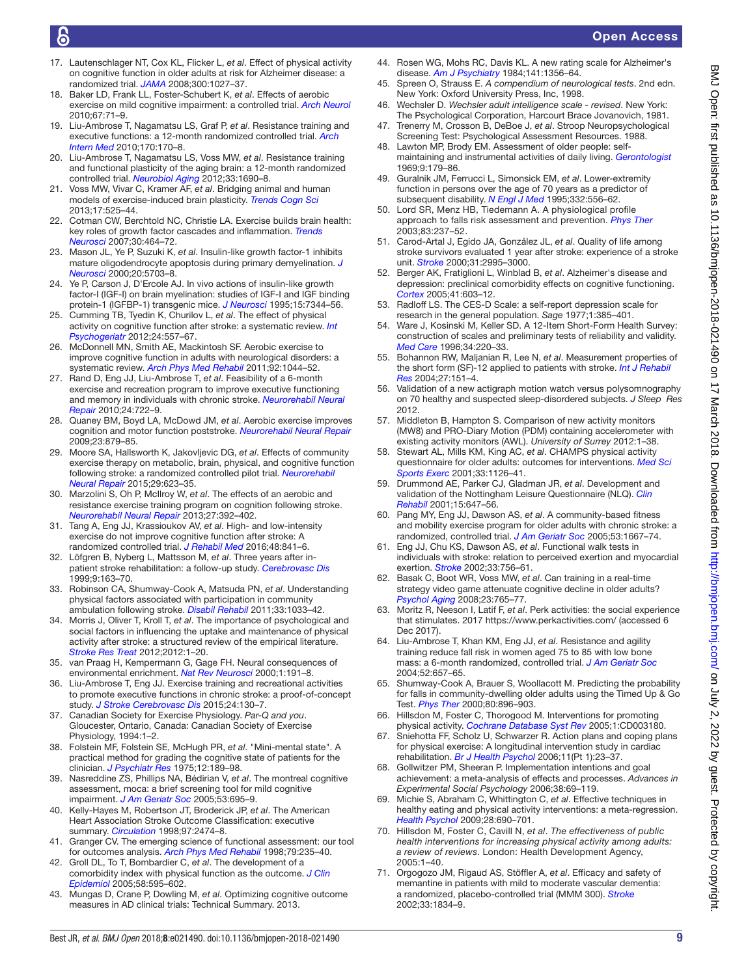# Open Access

- <span id="page-8-46"></span>17. Lautenschlager NT, Cox KL, Flicker L, *et al*. Effect of physical activity on cognitive function in older adults at risk for Alzheimer disease: a randomized trial. *[JAMA](http://dx.doi.org/10.1001/jama.300.9.1027)* 2008;300:1027–37.
- 18. Baker LD, Frank LL, Foster-Schubert K, *et al*. Effects of aerobic exercise on mild cognitive impairment: a controlled trial. *[Arch Neurol](http://dx.doi.org/10.1001/archneurol.2009.307)* 2010;67:71–9.
- 19. Liu-Ambrose T, Nagamatsu LS, Graf P, *et al*. Resistance training and executive functions: a 12-month randomized controlled trial. *[Arch](http://dx.doi.org/10.1001/archinternmed.2009.494)  [Intern Med](http://dx.doi.org/10.1001/archinternmed.2009.494)* 2010;170:170–8.
- 20. Liu-Ambrose T, Nagamatsu LS, Voss MW, *et al*. Resistance training and functional plasticity of the aging brain: a 12-month randomized controlled trial. *[Neurobiol Aging](http://dx.doi.org/10.1016/j.neurobiolaging.2011.05.010)* 2012;33:1690–8.
- <span id="page-8-0"></span>21. Voss MW, Vivar C, Kramer AF, *et al*. Bridging animal and human models of exercise-induced brain plasticity. *[Trends Cogn Sci](http://dx.doi.org/10.1016/j.tics.2013.08.001)* 2013;17:525–44.
- 22. Cotman CW, Berchtold NC, Christie LA. Exercise builds brain health: key roles of growth factor cascades and inflammation. *[Trends](http://dx.doi.org/10.1016/j.tins.2007.06.011)  [Neurosci](http://dx.doi.org/10.1016/j.tins.2007.06.011)* 2007;30:464–72.
- <span id="page-8-1"></span>23. Mason JL, Ye P, Suzuki K, *et al*. Insulin-like growth factor-1 inhibits mature oligodendrocyte apoptosis during primary demyelination. *[J](http://www.ncbi.nlm.nih.gov/pubmed/10908609)  [Neurosci](http://www.ncbi.nlm.nih.gov/pubmed/10908609)* 2000;20:5703–8.
- 24. Ye P, Carson J, D'Ercole AJ. In vivo actions of insulin-like growth factor-I (IGF-I) on brain myelination: studies of IGF-I and IGF binding protein-1 (IGFBP-1) transgenic mice. *[J Neurosci](http://www.ncbi.nlm.nih.gov/pubmed/7472488)* 1995;15:7344–56.
- <span id="page-8-2"></span>25. Cumming TB, Tyedin K, Churilov L, *et al*. The effect of physical activity on cognitive function after stroke: a systematic review. *[Int](http://dx.doi.org/10.1017/S1041610211001980)  [Psychogeriatr](http://dx.doi.org/10.1017/S1041610211001980)* 2012;24:557–67.
- 26. McDonnell MN, Smith AE, Mackintosh SF. Aerobic exercise to improve cognitive function in adults with neurological disorders: a systematic review. *[Arch Phys Med Rehabil](http://dx.doi.org/10.1016/j.apmr.2011.01.021)* 2011;92:1044–52.
- <span id="page-8-11"></span>27. Rand D, Eng JJ, Liu-Ambrose T, *et al*. Feasibility of a 6-month exercise and recreation program to improve executive functioning and memory in individuals with chronic stroke. *[Neurorehabil Neural](http://dx.doi.org/10.1177/1545968310368684)  [Repair](http://dx.doi.org/10.1177/1545968310368684)* 2010;24:722–9.
- <span id="page-8-3"></span>28. Quaney BM, Boyd LA, McDowd JM, *et al*. Aerobic exercise improves cognition and motor function poststroke. *[Neurorehabil Neural Repair](http://dx.doi.org/10.1177/1545968309338193)* 2009;23:879–85.
- <span id="page-8-4"></span>29. Moore SA, Hallsworth K, Jakovljevic DG, *et al*. Effects of community exercise therapy on metabolic, brain, physical, and cognitive function following stroke: a randomized controlled pilot trial. *[Neurorehabil](http://dx.doi.org/10.1177/1545968314562116)  [Neural Repair](http://dx.doi.org/10.1177/1545968314562116)* 2015;29:623–35.
- <span id="page-8-5"></span>30. Marzolini S, Oh P, McIlroy W, *et al*. The effects of an aerobic and resistance exercise training program on cognition following stroke. *[Neurorehabil Neural Repair](http://dx.doi.org/10.1177/1545968312465192)* 2013;27:392–402.
- <span id="page-8-6"></span>31. Tang A, Eng JJ, Krassioukov AV, *et al*. High- and low-intensity exercise do not improve cognitive function after stroke: A randomized controlled trial. *[J Rehabil Med](http://dx.doi.org/10.2340/16501977-2163)* 2016;48:841–6.
- <span id="page-8-7"></span>32. Löfgren B, Nyberg L, Mattsson M, *et al*. Three years after inpatient stroke rehabilitation: a follow-up study. *[Cerebrovasc Dis](http://dx.doi.org/10.1159/000015948)* 1999;9:163–70.
- <span id="page-8-8"></span>33. Robinson CA, Shumway-Cook A, Matsuda PN, *et al*. Understanding physical factors associated with participation in community ambulation following stroke. *[Disabil Rehabil](http://dx.doi.org/10.3109/09638288.2010.520803)* 2011;33:1033–42.
- <span id="page-8-9"></span>34. Morris J, Oliver T, Kroll T, *et al*. The importance of psychological and social factors in influencing the uptake and maintenance of physical activity after stroke: a structured review of the empirical literature. *[Stroke Res Treat](http://dx.doi.org/10.1155/2012/195249)* 2012;2012:1–20.
- <span id="page-8-10"></span>35. van Praag H, Kempermann G, Gage FH. Neural consequences of environmental enrichment. *[Nat Rev Neurosci](http://dx.doi.org/10.1038/35044558)* 2000;1:191–8.
- <span id="page-8-12"></span>36. Liu-Ambrose T, Eng JJ. Exercise training and recreational activities to promote executive functions in chronic stroke: a proof-of-concept study. *[J Stroke Cerebrovasc Dis](http://dx.doi.org/10.1016/j.jstrokecerebrovasdis.2014.08.012)* 2015;24:130–7.
- <span id="page-8-13"></span>37. Canadian Society for Exercise Physiology. *Par-Q and you*. Gloucester, Ontario, Canada: Canadian Society of Exercise Physiology, 1994:1–2.
- <span id="page-8-14"></span>38. Folstein MF, Folstein SE, McHugh PR, *et al*. "Mini-mental state". A practical method for grading the cognitive state of patients for the clinician. *[J Psychiatr Res](http://www.ncbi.nlm.nih.gov/pubmed/1202204)* 1975;12:189–98.
- <span id="page-8-15"></span>39. Nasreddine ZS, Phillips NA, Bédirian V, *et al*. The montreal cognitive assessment, moca: a brief screening tool for mild cognitive impairment. *[J Am Geriatr Soc](http://dx.doi.org/10.1111/j.1532-5415.2005.53221.x)* 2005;53:695–9.
- <span id="page-8-16"></span>40. Kelly-Hayes M, Robertson JT, Broderick JP, *et al*. The American Heart Association Stroke Outcome Classification: executive summary. *[Circulation](http://dx.doi.org/10.1161/01.CIR.97.24.2474)* 1998;97:2474–8.
- <span id="page-8-17"></span>41. Granger CV. The emerging science of functional assessment: our tool for outcomes analysis. *[Arch Phys Med Rehabil](http://dx.doi.org/10.1016/S0003-9993(98)90000-4)* 1998;79:235–40.
- <span id="page-8-18"></span>42. Groll DL, To T, Bombardier C, *et al*. The development of a comorbidity index with physical function as the outcome. *[J Clin](http://dx.doi.org/10.1016/j.jclinepi.2004.10.018)  [Epidemiol](http://dx.doi.org/10.1016/j.jclinepi.2004.10.018)* 2005;58:595–602.
- <span id="page-8-19"></span>43. Mungas D, Crane P, Dowling M, *et al*. Optimizing cognitive outcome measures in AD clinical trials: Technical Summary. 2013.
- <span id="page-8-20"></span>44. Rosen WG, Mohs RC, Davis KL. A new rating scale for Alzheimer's disease. *[Am J Psychiatry](http://dx.doi.org/10.1176/ajp.141.11.1356)* 1984;141:1356–64.
- <span id="page-8-21"></span>45. Spreen O, Strauss E. *A compendium of neurological tests*. 2nd edn. New York: Oxford University Press, Inc, 1998.
- <span id="page-8-22"></span>46. Wechsler D. *Wechsler adult intelligence scale - revised*. New York: The Psychological Corporation, Harcourt Brace Jovanovich, 1981.
- <span id="page-8-23"></span>47. Trenerry M, Crosson B, DeBoe J, *et al*. Stroop Neuropsychological Screening Test: Psychological Assessment Resources. 1988.
- <span id="page-8-24"></span>48. Lawton MP, Brody EM. Assessment of older people: selfmaintaining and instrumental activities of daily living. *[Gerontologist](http://dx.doi.org/10.1093/geront/9.3_Part_1.179)* 1969;9:179–86.
- <span id="page-8-25"></span>49. Guralnik JM, Ferrucci L, Simonsick EM, *et al*. Lower-extremity function in persons over the age of 70 years as a predictor of subsequent disability. *[N Engl J Med](http://dx.doi.org/10.1056/NEJM199503023320902)* 1995;332:556–62.
- <span id="page-8-26"></span>50. Lord SR, Menz HB, Tiedemann A. A physiological profile approach to falls risk assessment and prevention. *[Phys Ther](http://www.ncbi.nlm.nih.gov/pubmed/12620088)* 2003;83:237–52.
- <span id="page-8-27"></span>51. Carod-Artal J, Egido JA, González JL, *et al*. Quality of life among stroke survivors evaluated 1 year after stroke: experience of a stroke unit. *[Stroke](http://dx.doi.org/10.1161/01.STR.31.12.2995)* 2000;31:2995–3000.
- <span id="page-8-28"></span>52. Berger AK, Fratiglioni L, Winblad B, *et al*. Alzheimer's disease and depression: preclinical comorbidity effects on cognitive functioning. *[Cortex](http://dx.doi.org/10.1016/S0010-9452(08)70200-4)* 2005;41:603–12.
- <span id="page-8-29"></span>53. Radloff LS. The CES-D Scale: a self-report depression scale for research in the general population. *Sage* 1977;1:385–401.
- <span id="page-8-30"></span>54. Ware J, Kosinski M, Keller SD. A 12-Item Short-Form Health Survey: construction of scales and preliminary tests of reliability and validity. *[Med Care](http://www.ncbi.nlm.nih.gov/pubmed/8628042)* 1996;34:220–33.
- <span id="page-8-31"></span>55. Bohannon RW, Maljanian R, Lee N, *et al*. Measurement properties of the short form (SF)-12 applied to patients with stroke. *[Int J Rehabil](http://dx.doi.org/10.1097/01.mrr.0000127349.25287.de)  [Res](http://dx.doi.org/10.1097/01.mrr.0000127349.25287.de)* 2004;27:151–4.
- <span id="page-8-32"></span>56. Validation of a new actigraph motion watch versus polysomnography on 70 healthy and suspected sleep-disordered subjects. *J Sleep Res* 2012.
- 57. Middleton B, Hampton S. Comparison of new activity monitors (MW8) and PRO-Diary Motion (PDM) containing accelerometer with existing activity monitors (AWL). *University of Surrey* 2012:1–38.
- <span id="page-8-33"></span>58. Stewart AL, Mills KM, King AC, *et al*. CHAMPS physical activity questionnaire for older adults: outcomes for interventions. *[Med Sci](http://dx.doi.org/10.1097/00005768-200107000-00010)  [Sports Exerc](http://dx.doi.org/10.1097/00005768-200107000-00010)* 2001;33:1126–41.
- <span id="page-8-34"></span>59. Drummond AE, Parker CJ, Gladman JR, *et al*. Development and validation of the Nottingham Leisure Questionnaire (NLQ). *[Clin](http://dx.doi.org/10.1191/0269215501cr438oa)  [Rehabil](http://dx.doi.org/10.1191/0269215501cr438oa)* 2001;15:647–56.
- <span id="page-8-35"></span>60. Pang MY, Eng JJ, Dawson AS, *et al*. A community-based fitness and mobility exercise program for older adults with chronic stroke: a randomized, controlled trial. *[J Am Geriatr Soc](http://dx.doi.org/10.1111/j.1532-5415.2005.53521.x)* 2005;53:1667–74.
- <span id="page-8-36"></span>61. Eng JJ, Chu KS, Dawson AS, *et al*. Functional walk tests in individuals with stroke: relation to perceived exertion and myocardial exertion. *[Stroke](http://dx.doi.org/10.1161/hs0302.104195)* 2002;33:756–61.
- <span id="page-8-37"></span>62. Basak C, Boot WR, Voss MW, *et al*. Can training in a real-time strategy video game attenuate cognitive decline in older adults? *[Psychol Aging](http://dx.doi.org/10.1037/a0013494)* 2008;23:765–77.
- <span id="page-8-38"></span>63. Moritz R, Neeson I, Latif F, *et al*. Perk activities: the social experience that stimulates. 2017 <https://www.perkactivities.com/> (accessed 6 Dec 2017).
- <span id="page-8-39"></span>64. Liu-Ambrose T, Khan KM, Eng JJ, *et al*. Resistance and agility training reduce fall risk in women aged 75 to 85 with low bone mass: a 6-month randomized, controlled trial. *[J Am Geriatr Soc](http://dx.doi.org/10.1111/j.1532-5415.2004.52200.x)* 2004;52:657–65.
- <span id="page-8-40"></span>65. Shumway-Cook A, Brauer S, Woollacott M. Predicting the probability for falls in community-dwelling older adults using the Timed Up & Go Test. *[Phys Ther](http://www.ncbi.nlm.nih.gov/pubmed/10960937)* 2000;80:896–903.
- <span id="page-8-41"></span>66. Hillsdon M, Foster C, Thorogood M. Interventions for promoting physical activity. *[Cochrane Database Syst Rev](http://dx.doi.org/10.1002/14651858.CD003180.pub2)* 2005;1:CD003180.
- <span id="page-8-42"></span>67. Sniehotta FF, Scholz U, Schwarzer R. Action plans and coping plans for physical exercise: A longitudinal intervention study in cardiac rehabilitation. *[Br J Health Psychol](http://dx.doi.org/10.1348/135910705X43804)* 2006;11(Pt 1):23–37.
- <span id="page-8-43"></span>68. Gollwitzer PM, Sheeran P. Implementation intentions and goal achievement: a meta-analysis of effects and processes. *Advances in Experimental Social Psychology* 2006;38:69–119.
- <span id="page-8-44"></span>69. Michie S, Abraham C, Whittington C, *et al*. Effective techniques in healthy eating and physical activity interventions: a meta-regression. *[Health Psychol](http://dx.doi.org/10.1037/a0016136)* 2009;28:690–701.
- 70. Hillsdon M, Foster C, Cavill N, *et al*. *The effectiveness of public health interventions for increasing physical activity among adults: a review of reviews*. London: Health Development Agency, 2005:1–40.
- <span id="page-8-45"></span>71. Orgogozo JM, Rigaud AS, Stöffler A, *et al*. Efficacy and safety of memantine in patients with mild to moderate vascular dementia: a randomized, placebo-controlled trial (MMM 300). *[Stroke](http://dx.doi.org/10.1161/01.STR.0000020094.08790.49)* 2002;33:1834–9.